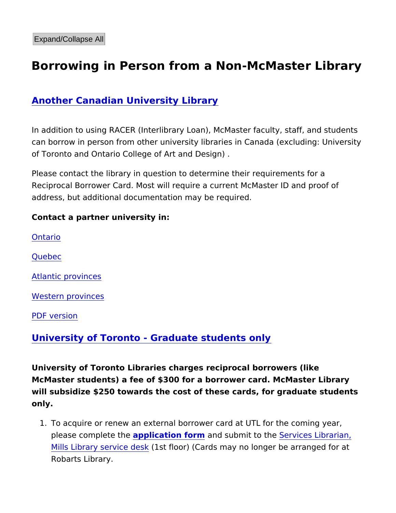## Borrowing in Person from a Non-McMaster L

## Another Canadian University Library

In addition to using RACER (Interlibrary Loan), McMaster faculty, can borrow in person from other university libraries in Canada (e) of Toronto and Ontario College of Art and Design) .

Please contact the library in question to determine their requirem Reciprocal Borrower Card. Most will require a current McMaster I address, but additional documentation may be required.

Contact a partner university in:

[Ontar](https://ocul.on.ca/our-members)io

[Queb](http://www.bci-qc.ca/en/members/)ec

[Atlantic prov](https://caul-cbua.ca/directories/institutions)inces

[Western prov](https://coppul.ca/organizations)inces

[PDF vers](https://library.mcmaster.ca/print/pdf/node/17014)ion

University of Toronto - Graduate students only

Universitgf Toronto Libraries charges reciprocal borrowers (like McMaster students) a fee of \$300 for a borrower card. McMaster I will subsidize \$250 towards the cost of these cards, for graduate only.

1. To acquire or renew an external borrower card at UTL for the please completapthe cation formand submit to Stehrences Librarian, [Mills Library serv](mailto:servisl@mcmaster.ca)ictesdefstor) (Cards may no longer be arrange Robarts Library.